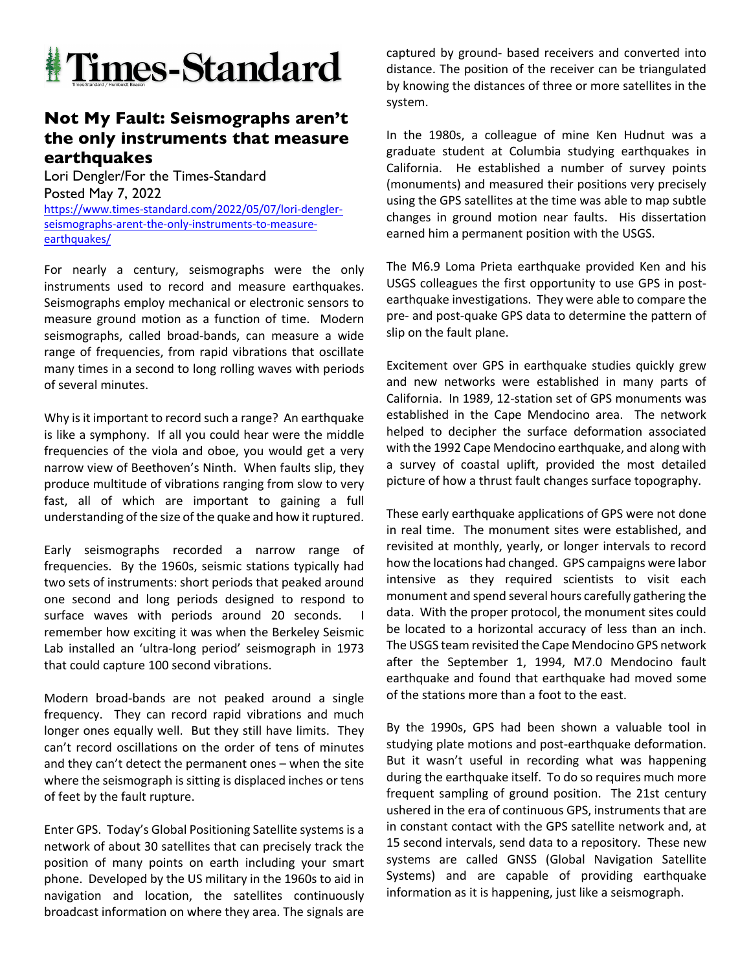

## **Not My Fault: Seismographs aren't the only instruments that measure earthquakes**

Lori Dengler/For the Times-Standard Posted May 7, 2022 https://www.times-standard.com/2022/05/07/lori-denglerseismographs-arent-the-only-instruments-to-measureearthquakes/

For nearly a century, seismographs were the only instruments used to record and measure earthquakes. Seismographs employ mechanical or electronic sensors to measure ground motion as a function of time. Modern seismographs, called broad-bands, can measure a wide range of frequencies, from rapid vibrations that oscillate many times in a second to long rolling waves with periods of several minutes.

Why is it important to record such a range? An earthquake is like a symphony. If all you could hear were the middle frequencies of the viola and oboe, you would get a very narrow view of Beethoven's Ninth. When faults slip, they produce multitude of vibrations ranging from slow to very fast, all of which are important to gaining a full understanding of the size of the quake and how it ruptured.

Early seismographs recorded a narrow range of frequencies. By the 1960s, seismic stations typically had two sets of instruments: short periods that peaked around one second and long periods designed to respond to surface waves with periods around 20 seconds. remember how exciting it was when the Berkeley Seismic Lab installed an 'ultra-long period' seismograph in 1973 that could capture 100 second vibrations.

Modern broad-bands are not peaked around a single frequency. They can record rapid vibrations and much longer ones equally well. But they still have limits. They can't record oscillations on the order of tens of minutes and they can't detect the permanent ones – when the site where the seismograph is sitting is displaced inches or tens of feet by the fault rupture.

Enter GPS. Today's Global Positioning Satellite systems is a network of about 30 satellites that can precisely track the position of many points on earth including your smart phone. Developed by the US military in the 1960s to aid in navigation and location, the satellites continuously broadcast information on where they area. The signals are captured by ground- based receivers and converted into distance. The position of the receiver can be triangulated by knowing the distances of three or more satellites in the system.

In the 1980s, a colleague of mine Ken Hudnut was a graduate student at Columbia studying earthquakes in California. He established a number of survey points (monuments) and measured their positions very precisely using the GPS satellites at the time was able to map subtle changes in ground motion near faults. His dissertation earned him a permanent position with the USGS.

The M6.9 Loma Prieta earthquake provided Ken and his USGS colleagues the first opportunity to use GPS in postearthquake investigations. They were able to compare the pre- and post-quake GPS data to determine the pattern of slip on the fault plane.

Excitement over GPS in earthquake studies quickly grew and new networks were established in many parts of California. In 1989, 12-station set of GPS monuments was established in the Cape Mendocino area. The network helped to decipher the surface deformation associated with the 1992 Cape Mendocino earthquake, and along with a survey of coastal uplift, provided the most detailed picture of how a thrust fault changes surface topography.

These early earthquake applications of GPS were not done in real time. The monument sites were established, and revisited at monthly, yearly, or longer intervals to record how the locations had changed. GPS campaigns were labor intensive as they required scientists to visit each monument and spend several hours carefully gathering the data. With the proper protocol, the monument sites could be located to a horizontal accuracy of less than an inch. The USGS team revisited the Cape Mendocino GPS network after the September 1, 1994, M7.0 Mendocino fault earthquake and found that earthquake had moved some of the stations more than a foot to the east.

By the 1990s, GPS had been shown a valuable tool in studying plate motions and post-earthquake deformation. But it wasn't useful in recording what was happening during the earthquake itself. To do so requires much more frequent sampling of ground position. The 21st century ushered in the era of continuous GPS, instruments that are in constant contact with the GPS satellite network and, at 15 second intervals, send data to a repository. These new systems are called GNSS (Global Navigation Satellite Systems) and are capable of providing earthquake information as it is happening, just like a seismograph.